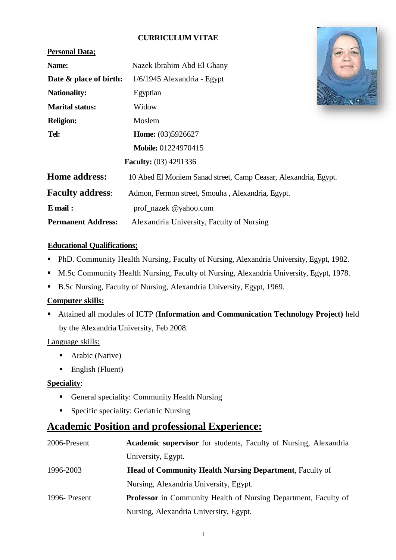#### **CURRICULUM V1TAE**

#### **Personal Data;**

| Name:                   | Nazek Ibrahim Abd El Ghany                                      |  |  |  |
|-------------------------|-----------------------------------------------------------------|--|--|--|
| Date & place of birth:  | $1/6/1945$ Alexandria - Egypt                                   |  |  |  |
| <b>Nationality:</b>     | Egyptian                                                        |  |  |  |
| <b>Marital status:</b>  | Widow                                                           |  |  |  |
| <b>Religion:</b>        | Moslem                                                          |  |  |  |
| Tel:                    | Home: (03)5926627                                               |  |  |  |
|                         | <b>Mobile: 01224970415</b>                                      |  |  |  |
|                         | <b>Faculty:</b> (03) 4291336                                    |  |  |  |
| Home address:           | 10 Abed El Moniem Sanad street, Camp Ceasar, Alexandria, Egypt. |  |  |  |
| <b>Faculty address:</b> | Admon, Fermon street, Smouha, Alexandria, Egypt.                |  |  |  |
| $E$ mail:               | prof_nazek @yahoo.com                                           |  |  |  |



#### **Educational Qualifications;**

- PhD. Community Health Nursing, Faculty of Nursing, Alexandria University, Egypt, 1982.
- M.Sc Community Health Nursing, Faculty of Nursing, Alexandria University, Egypt, 1978.
- B.Sc Nursing, Faculty of Nursing, Alexandria University, Egypt, 1969.

**Permanent Address:** Alexandria University, Faculty of Nursing

#### **Computer skills:**

 Attained all modules of ICTP (**Information and Communication Technology Project)** held by the Alexandria University, Feb 2008.

#### Language skills:

- Arabic (Native)
- $\blacksquare$  English (Fluent)

#### **Speciality**:

- General speciality: Community Health Nursing
- **Specific speciality: Geriatric Nursing**

# **Academic Position and professional Experience:**

| 2006-Present  | <b>Academic supervisor</b> for students, Faculty of Nursing, Alexandria |
|---------------|-------------------------------------------------------------------------|
|               | University, Egypt.                                                      |
| 1996-2003     | <b>Head of Community Health Nursing Department, Faculty of</b>          |
|               | Nursing, Alexandria University, Egypt.                                  |
| 1996- Present | <b>Professor</b> in Community Health of Nursing Department, Faculty of  |
|               | Nursing, Alexandria University, Egypt.                                  |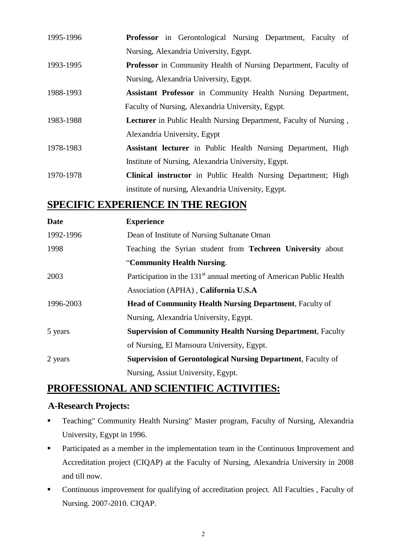| <b>Professor</b> in Gerontological Nursing Department, Faculty of        |
|--------------------------------------------------------------------------|
| Nursing, Alexandria University, Egypt.                                   |
| <b>Professor</b> in Community Health of Nursing Department, Faculty of   |
| Nursing, Alexandria University, Egypt.                                   |
| Assistant Professor in Community Health Nursing Department,              |
| Faculty of Nursing, Alexandria University, Egypt.                        |
| <b>Lecturer</b> in Public Health Nursing Department, Faculty of Nursing, |
| Alexandria University, Egypt                                             |
| Assistant lecturer in Public Health Nursing Department, High             |
| Institute of Nursing, Alexandria University, Egypt.                      |
| <b>Clinical instructor</b> in Public Health Nursing Department; High     |
|                                                                          |

institute of nursing, Alexandria University, Egypt.

# **SPECIFIC EXPERIENCE IN THE REGION**

| Date      | <b>Experience</b>                                                               |
|-----------|---------------------------------------------------------------------------------|
| 1992-1996 | Dean of Institute of Nursing Sultanate Oman                                     |
| 1998      | Teaching the Syrian student from <b>Techreen University</b> about               |
|           | "Community Health Nursing.                                                      |
| 2003      | Participation in the 131 <sup>st</sup> annual meeting of American Public Health |
|           | Association (APHA), California U.S.A                                            |
| 1996-2003 | <b>Head of Community Health Nursing Department, Faculty of</b>                  |
|           | Nursing, Alexandria University, Egypt.                                          |
| 5 years   | <b>Supervision of Community Health Nursing Department, Faculty</b>              |
|           | of Nursing, El Mansoura University, Egypt.                                      |
| 2 years   | <b>Supervision of Gerontological Nursing Department, Faculty of</b>             |
|           | Nursing, Assiut University, Egypt.                                              |

# **PROFESSIONAL AND SCIENTIFIC ACTIVITIES:**

#### **A-Research Projects:**

- Teaching" Community Health Nursing" Master program, Faculty of Nursing, Alexandria University, Egypt in 1996.
- **Participated as a member in the implementation team in the Continuous Improvement and** Accreditation project (CIQAP) at the Faculty of Nursing, Alexandria University in 2008 and till now.
- Continuous improvement for qualifying of accreditation project. All Faculties , Faculty of Nursing. 2007-2010. CIQAP.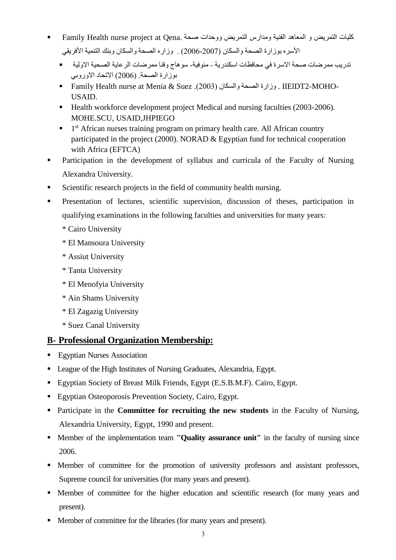- كليات التمريض و المعاهد الفنية ومدارس التمريض ووحدات صحة .Family Health nurse project at Qena الأسره بوزارة الصحة والسكان (2007-2006) . وزاره الصحة والسكان وبنك التنمية الأفريقي
	- تدريب ممرضات صحة االسرة في محافظات اسكندرية منوفية- سوهاج وقنا ممرضات الرعاية الصحية االولية بوزارة الصحة. )2006( االتحاد االوروبي
	- Family Health nurse at Menia & Suez .)2003( والسكان الصحة وزارة . IIElDT2-MOHO-USAID.
	- Health workforce development project Medical and nursing faculties (2003-2006). MOHE.SCU, USAID,JHPIEGO
	- <sup>1</sup> 1<sup>st</sup> African nurses training program on primary health care. All African country participated in the project (2000). NORAD & Egyptian fund for technical cooperation with Africa (EFTCA)
- Participation in the development of syllabus and curricula of the Faculty of Nursing Alexandra University.
- Scientific research projects in the field of community health nursing.
- **Presentation of lectures, scientific supervision, discussion of theses, participation in** qualifying examinations in the following faculties and universities for many years:
	- \* Cairo University
	- \* El Mansoura University
	- \* Assiut University
	- \* Tanta University
	- \* El Menofyia University
	- \* Ain Shams University
	- \* El Zagazig University
	- \* Suez Canal University

# **B- Professional Organization Membership:**

- **Egyptian Nurses Association**
- League of the High Institutes of Nursing Graduates, Alexandria, Egypt.
- Egyptian Society of Breast Milk Friends, Egypt (E.S.B.M.F). Cairo, Egypt.
- Egyptian Osteoporosis Prevention Society, Cairo, Egypt.
- **Participate in the Committee for recruiting the new students** in the Faculty of Nursing, Alexandria University, Egypt, 1990 and present.
- **Member of the implementation team <b>"Quality assurance unit"** in the faculty of nursing since 2006.
- Member of committee for the promotion of university professors and assistant professors, Supreme council for universities (for many years and present).
- Member of committee for the higher education and scientific research (for many years and present).
- Member of committee for the libraries (for many years and present).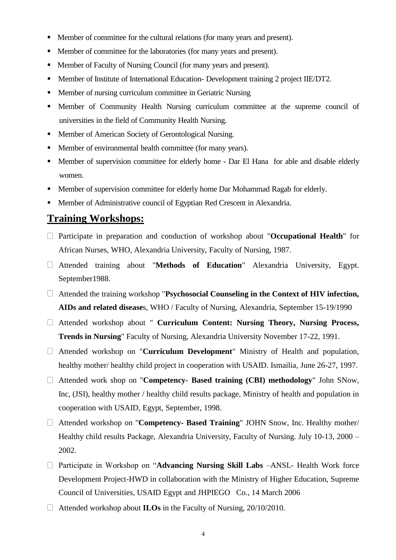- Member of committee for the cultural relations (for many years and present).
- Member of committee for the laboratories (for many years and present).
- Member of Faculty of Nursing Council (for many years and present).
- **Member of Institute of International Education- Development training 2 project IIE/DT2.**
- Member of nursing curriculum committee in Geriatric Nursing
- Member of Community Health Nursing curriculum committee at the supreme council of universities in the field of Community Health Nursing.
- Member of American Society of Gerontological Nursing.
- Member of environmental health committee (for many years).
- Member of supervision committee for elderly home Dar El Hana for able and disable elderly women.
- **Member of supervision committee for elderly home Dar Mohammad Ragab for elderly.**
- Member of Administrative council of Egyptian Red Crescent in Alexandria.

### **Training Workshops:**

- Participate in preparation and conduction of workshop about "**Occupational Health**" for African Nurses, WHO, Alexandria University, Faculty of Nursing, 1987.
- Attended training about "**Methods of Education**" Alexandria University, Egypt. September1988.
- Attended the training workshop "**Psychosocial Counseling in the Context of HIV infection, AIDs and related disease**s, WHO / Faculty of Nursing, Alexandria, September 15-19/1990
- Attended workshop about " **Curriculum Content: Nursing Theory, Nursing Process, Trends in Nursing**" Faculty of Nursing, Alexandria University November 17-22, 1991.
- Attended workshop on "**Curriculum Development**" Ministry of Health and population, healthy mother/ healthy child project in cooperation with USAID. Ismailia, June 26-27, 1997.
- Attended work shop on "**Competency- Based training (CBI) methodology**" John SNow, Inc, (JSI), healthy mother / healthy child results package, Ministry of health and population in cooperation with USAID, Egypt, September, 1998.
- Attended workshop on "**Competency- Based Training**" JOHN Snow, Inc. Healthy mother/ Healthy child results Package, Alexandria University, Faculty of Nursing. July 10-13, 2000 – 2002.
- Participate in Workshop on "**Advancing Nursing Skill Labs** –ANSL- Health Work force Development Project-HWD in collaboration with the Ministry of Higher Education, Supreme Council of Universities, USAID Egypt and JHPIEGO Co., 14 March 2006
- Attended workshop about **ILOs** in the Faculty of Nursing, 20/10/2010.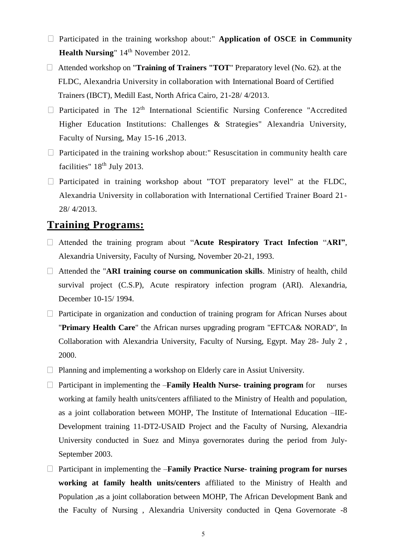- Participated in the training workshop about:" **Application of OSCE in Community Health Nursing**" 14<sup>th</sup> November 2012.
- Attended workshop on "**Training of Trainers "TOT**" Preparatory level (No. 62). at the FLDC, Alexandria University in collaboration with International Board of Certified Trainers (IBCT), Medill East, North Africa Cairo, 21-28/ 4/2013.
- $\Box$  Participated in The 12<sup>th</sup> International Scientific Nursing Conference "Accredited" Higher Education Institutions: Challenges & Strategies" Alexandria University, Faculty of Nursing, May 15-16 ,2013.
- $\Box$  Participated in the training workshop about:" Resuscitation in community health care facilities"  $18<sup>th</sup>$  July 2013.
- $\Box$  Participated in training workshop about "TOT preparatory level" at the FLDC, Alexandria University in collaboration with International Certified Trainer Board 21- 28/ 4/2013.

# **Training Programs:**

- Attended the training program about "**Acute Respiratory Tract Infection** "**ARI"**, Alexandria University, Faculty of Nursing, November 20-21, 1993.
- Attended the "**ARI training course on communication skills**. Ministry of health, child survival project (C.S.P), Acute respiratory infection program (ARI). Alexandria, December 10-15/ 1994.
- $\Box$  Participate in organization and conduction of training program for African Nurses about "**Primary Health Care**" the African nurses upgrading program "EFTCA& NORAD", In Collaboration with Alexandria University, Faculty of Nursing, Egypt. May 28- July 2 , 2000.
- $\Box$  Planning and implementing a workshop on Elderly care in Assiut University.
- Participant in implementing the –**Family Health Nurse- training program** for nurses working at family health units/centers affiliated to the Ministry of Health and population, as a joint collaboration between MOHP, The Institute of International Education –IIE-Development training 11-DT2-USAID Project and the Faculty of Nursing, Alexandria University conducted in Suez and Minya governorates during the period from July-September 2003.
- □ Participant in implementing the **–Family Practice Nurse-** training program for nurses **working at family health units/centers** affiliated to the Ministry of Health and Population ,as a joint collaboration between MOHP, The African Development Bank and the Faculty of Nursing , Alexandria University conducted in Qena Governorate -8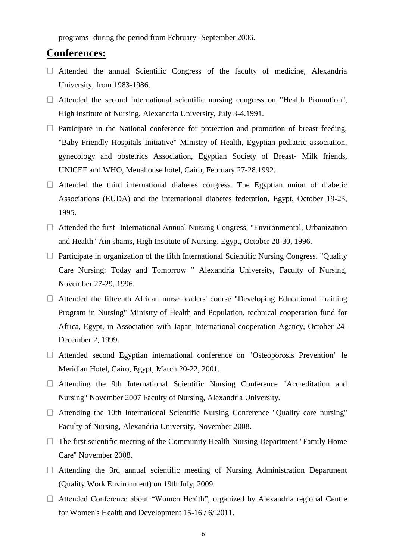programs- during the period from February- September 2006.

### **Conferences:**

- $\Box$  Attended the annual Scientific Congress of the faculty of medicine, Alexandria University, from 1983-1986.
- $\Box$  Attended the second international scientific nursing congress on "Health Promotion", High Institute of Nursing, Alexandria University, July 3-4.1991.
- $\Box$  Participate in the National conference for protection and promotion of breast feeding, "Baby Friendly Hospitals Initiative" Ministry of Health, Egyptian pediatric association, gynecology and obstetrics Association, Egyptian Society of Breast- Milk friends, UNICEF and WHO, Menahouse hotel, Cairo, February 27-28.1992.
- $\Box$  Attended the third international diabetes congress. The Egyptian union of diabetic Associations (EUDA) and the international diabetes federation, Egypt, October 19-23, 1995.
- $\Box$  Attended the first -International Annual Nursing Congress, "Environmental, Urbanization and Health" Ain shams, High Institute of Nursing, Egypt, October 28-30, 1996.
- $\Box$  Participate in organization of the fifth International Scientific Nursing Congress. "Quality Care Nursing: Today and Tomorrow " Alexandria University, Faculty of Nursing, November 27-29, 1996.
- $\Box$  Attended the fifteenth African nurse leaders' course "Developing Educational Training Program in Nursing" Ministry of Health and Population, technical cooperation fund for Africa, Egypt, in Association with Japan International cooperation Agency, October 24- December 2, 1999.
- Attended second Egyptian international conference on "Osteoporosis Prevention" le Meridian Hotel, Cairo, Egypt, March 20-22, 2001.
- Attending the 9th International Scientific Nursing Conference "Accreditation and Nursing" November 2007 Faculty of Nursing, Alexandria University.
- $\Box$  Attending the 10th International Scientific Nursing Conference "Quality care nursing" Faculty of Nursing, Alexandria University, November 2008.
- $\Box$  The first scientific meeting of the Community Health Nursing Department "Family Home" Care" November 2008.
- $\Box$  Attending the 3rd annual scientific meeting of Nursing Administration Department (Quality Work Environment) on 19th July, 2009.
- Attended Conference about "Women Health", organized by Alexandria regional Centre for Women's Health and Development 15-16 / 6/ 2011.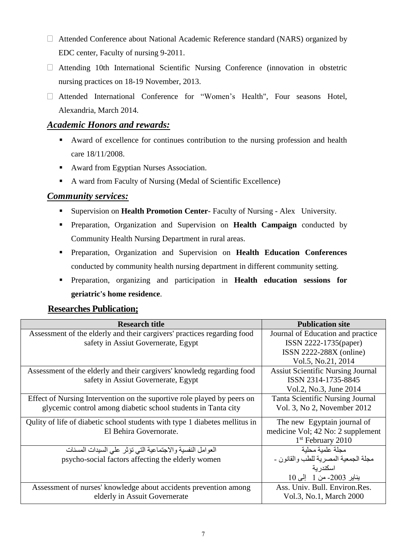- □ Attended Conference about National Academic Reference standard (NARS) organized by EDC center, Faculty of nursing 9-2011.
- Attending 10th International Scientific Nursing Conference (innovation in obstetric nursing practices on 18-19 November, 2013.
- Attended International Conference for "Women's Health", Four seasons Hotel, Alexandria, March 2014.

### *Academic Honors and rewards:*

- Award of excellence for continues contribution to the nursing profession and health care 18/11/2008.
- Award from Egyptian Nurses Association.
- A ward from Faculty of Nursing (Medal of Scientific Excellence)

#### *Community services:*

- Supervision on **Health Promotion Center** Faculty of Nursing Alex University.
- Preparation, Organization and Supervision on **Health Campaign** conducted by Community Health Nursing Department in rural areas.
- Preparation, Organization and Supervision on **Health Education Conferences** conducted by community health nursing department in different community setting.
- Preparation, organizing and participation in **Health education sessions for geriatric's home residence**.

### **Researches Publication;**

| <b>Research title</b>                                                       | <b>Publication site</b>                  |
|-----------------------------------------------------------------------------|------------------------------------------|
| Assessment of the elderly and their cargivers' practices regarding food     | Journal of Education and practice        |
| safety in Assiut Governerate, Egypt                                         | ISSN 2222-1735(paper)                    |
|                                                                             | ISSN 2222-288X (online)                  |
|                                                                             | Vol.5, No.21, 2014                       |
| Assessment of the elderly and their cargivers' knowledg regarding food      | <b>Assiut Scientific Nursing Journal</b> |
| safety in Assiut Governerate, Egypt                                         | ISSN 2314-1735-8845                      |
|                                                                             | Vol.2, No.3, June 2014                   |
| Effect of Nursing Intervention on the suportive role played by peers on     | <b>Tanta Scientific Nursing Journal</b>  |
| glycemic control among diabetic school students in Tanta city               | Vol. 3, No 2, November 2012              |
| Qulity of life of diabetic school students with type 1 diabetes mellitus in | The new Egyptain journal of              |
| El Behira Governorate.                                                      | medicine Vol; 42 No: 2 supplement        |
|                                                                             | $1st$ February 2010                      |
| العوامل النفسية والاجتماعية التي تؤثر على السيدات المسنات                   | مجلة علمبة محلبة                         |
| psycho-social factors affecting the elderly women                           | مجلة الجمعية المصر ية للطب و القانو ن -  |
|                                                                             | اسكندرية                                 |
|                                                                             | يناير 2003- من 1 إلى 10                  |
| Assessment of nurses' knowledge about accidents prevention among            | Ass. Univ. Bull. Environ.Res.            |
| elderly in Assuit Governerate                                               | Vol.3, No.1, March 2000                  |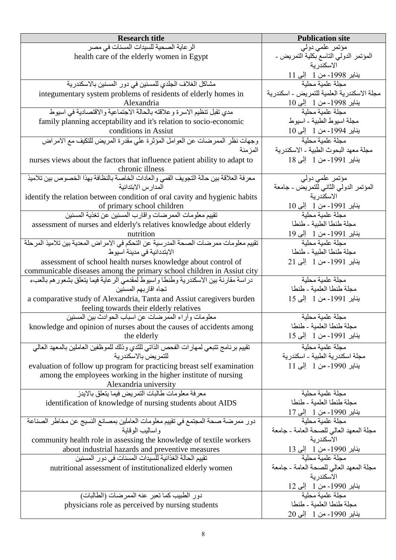| <b>Research title</b>                                                                 | <b>Publication site</b>                     |
|---------------------------------------------------------------------------------------|---------------------------------------------|
| الرعاية الصحية للسيدات المسنات في مصر                                                 | مؤتمر علمی دولی                             |
| health care of the elderly women in Egypt                                             | المؤتمر الدولمي التاسع بكلية التمريض -      |
|                                                                                       | الاسكندرية                                  |
|                                                                                       | يناير 1998- من 1 إلى 11                     |
| مشاكل الغلاف الجلدي للمسنين في دور المسنين بالاسكندرية                                | مجلة علمبة محلبة                            |
| integumentary system problems of residents of elderly homes in                        | مجلة الاسكندرية العلمية للتمريض - اسكندرية  |
| Alexandria                                                                            | يناير 1998- من 1 إلى 10                     |
| مدى تقبل تنظيم الأسرة وعلاقته بالحالة الاجتماعية والاقتصادية في اسيوط                 | مجلة علمية محلية                            |
| family planning acceptability and it's relation to socio-economic                     | مجلَّة اسيوط الطبية - اسيوط                 |
| conditions in Assiut                                                                  | يناير 1994- من 1 إلى 10                     |
| وجهات نظر الممرضات عن العوامل المؤثرة على مقدرة المريض للتكيف مع الامراض              | مجلة علمبة محلبة                            |
| المزمنة                                                                               | مجلة معهد البحوث الطبية ـ الاسكندرية        |
| nurses views about the factors that influence patient ability to adapt to             | يناير 1991- من 1 إلى 18                     |
| chronic illness                                                                       |                                             |
| معرفة العلاقة بين حالة التجويف الفمي والعادات الخاصة بالنظافة بهذا الخصوص بين تلاميذ  | مؤتمر علمي دولمي                            |
| المدارس الابتدائية                                                                    | المؤتمر الدولي الثاني للتمريض ـ جامعة       |
| identify the relation between condition of oral cavity and hygienic habits            | الاسكندرية                                  |
| of primary school children                                                            | يناير 1991- من 1 إلى 10                     |
| تقييم معلومات الممرضات واقارب المسنين عن تغذية المسنين                                | مجلة علمية محلية                            |
| assessment of nurses and elderly's relatives knowledge about elderly                  | مجلة طنطا الطبية - طنطا                     |
| nutrition                                                                             | يناير 1991- من 1 إلى 19                     |
| تقييم معلومات ممر ضات الصحة المدرسية عن التحكم في الامر اض المعدية بين تلاميذ المرحلة | مجلة علمية محلية                            |
| الابتددائية في مدينة اسيوط                                                            | مجلة طنطا الطبية - طنطا                     |
| assessment of school health nurses knowledge about control of                         | يناير 1991- من 1 إلى 21                     |
| communicable diseases among the primary school children in Assiut city                |                                             |
| دراسة مقارنة بين الاسكندرية وطنطا واسيوط لمقدمي الرعاية فيما يتعلق بشعور هم بالعبء    | مجلة علمية محلية                            |
| تجاه اقاربهم المسنين                                                                  | مجلة طنطا العلمية - طنطا                    |
| a comparative study of Alexandria, Tanta and Assiut caregivers burden                 | يناير 1991- من 1 إلى 15                     |
| feeling towards their elderly relatives                                               |                                             |
| معلومات وأراء الممرضات عن اسباب الحوادث بين المسنين                                   | مجلة علمية محلية                            |
| knowledge and opinion of nurses about the causes of accidents among                   | مجلة طنطا العلمبة - طنطا                    |
| the elderly                                                                           | يناير 1991- من 1 - إلى 15                   |
| تقييم برنامج تتبعى لمهارات الفحص الذاتي للثدي وذلك للموظفين العاملين بالمعهد العالى   | مجلة علمية محلية                            |
| للتمر يض بالإسكندر بة                                                                 | مجلة اسكندرية الطبية ـ اسكندرية             |
| evaluation of follow up program for practicing breast self examination                | يناير 1990- من 1 إلى 11                     |
| among the employees working in the higher institute of nursing                        |                                             |
| Alexandria university                                                                 |                                             |
| معر فة معلومات طالبات التمر بض فيما يتعلق بالايدز                                     | مجلة علمبة محلبة                            |
| identification of knowledge of nursing students about AIDS                            | مجلة طنطا العلمبة - طنطا                    |
|                                                                                       | يناير 1990- من 1 إلى 17<br>مجلة علمية محلية |
| دور ممرضة صحة المجتمع في تقييم معلومات العاملين بمصانع النسيج عن مخاطر الصناعة        |                                             |
| و اساليب الو قاية                                                                     | مجلة المعهد العالى للصحة العامة - جامعة     |
| community health role in assessing the knowledge of textile workers                   | الاسكندر ية                                 |
| about industrial hazards and preventive measures                                      | يناير 1990- من 1 إلى 13<br>مجلة علمية محلية |
| تقييم الحالة الغذائية للسيدات المسنات في دور المسنين                                  |                                             |
| nutritional assessment of institutionalized elderly women                             | مجلة المعهد العالي للصحة العامة - جامعة     |
|                                                                                       | الاسكندر ية                                 |
|                                                                                       | يناير 1990- من 1 إلى 12<br>مجلة علمية محلية |
| دور الطبيب كما تعبر عنه الممرضات (الطالبات)                                           |                                             |
| physicians role as perceived by nursing students                                      | مجلة طنطا العلمية - طنطا                    |
|                                                                                       | يناير 1990- من 1 إلى 20                     |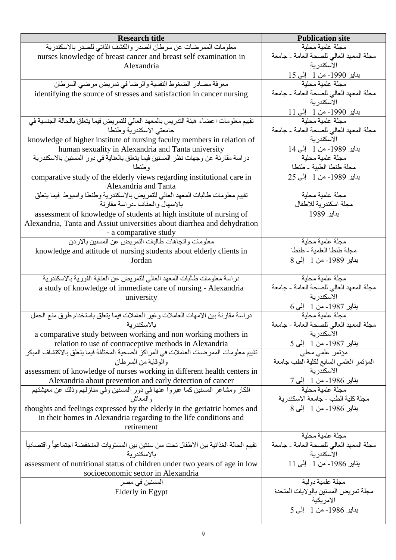| <b>Research title</b>                                                                                                         | <b>Publication site</b>                               |
|-------------------------------------------------------------------------------------------------------------------------------|-------------------------------------------------------|
| معلومات الممرضات عن سرطان الصدر والكشف الذاتي للصدر بالاسكندرية                                                               | مجلة علمية محلية                                      |
| nurses knowledge of breast cancer and breast self examination in                                                              | مجلَّة المعهد العالي للصحة العامة ـ جامعة             |
| Alexandria                                                                                                                    | الاسكندرية                                            |
|                                                                                                                               | يناير 1990- من 1 إلى 15                               |
| معرفة مصادر الضغوط النفسية والرضا في تمريض مرضىي السرطان                                                                      | مجلة علمبة محلبة                                      |
| identifying the source of stresses and satisfaction in cancer nursing                                                         | مجلة المعهد العالى للصحة العامة - جامعة               |
|                                                                                                                               | الاسكندرية                                            |
|                                                                                                                               | يناير 1990- من 1 إلى 11<br>مجلة علمية محلية           |
| تقييم معلومات اعضاء هيئة التدريس بالمعهد العالى للتمريض فيما يتعلق بالحالة الجنسية في                                         |                                                       |
| جامعتي الاسكندرية وطنطا                                                                                                       | مجلة المعهد العالى للصحة العامة - جامعة<br>الاسكندرية |
| knowledge of higher institute of nursing faculty members in relation of<br>human sexuality in Alexandria and Tanta university |                                                       |
| دراسة مقارنة عن وجهات نظر المسنين فيما يتعلق بالعناية في دور المسنين بالاسكندرية                                              | يناير 1989- من 1  إلى 14<br>مجلة علمية محلية          |
| وطنطا                                                                                                                         | مجلة طنطا الطبية - طنطا                               |
| comparative study of the elderly views regarding institutional care in                                                        | يناير 1989- من 1 إلى 25                               |
| Alexandria and Tanta                                                                                                          |                                                       |
| تقييم معلومات طالبات المعهد العالى للتمريض بالاسكندرية وطنطا واسيوط فيما يتعلق                                                | مجلة علمية محلية                                      |
| بالاسهال والجفاف -در اسة مقارنة                                                                                               | مجلة اسكندر ية للاطفال                                |
| assessment of knowledge of students at high institute of nursing of                                                           | يناير 1989                                            |
| Alexandria, Tanta and Assiut universities about diarrhea and dehydration                                                      |                                                       |
| - a comparative study                                                                                                         |                                                       |
| معلومات واتجاهات طالبات التمريض عن المسنين بالاردن                                                                            | مجلة علمية محلية                                      |
| knowledge and attitude of nursing students about elderly clients in                                                           | مجلة طنطا العلمية - طنطا                              |
| Jordan                                                                                                                        | يناير 1989- من 1   إلى 8                              |
|                                                                                                                               |                                                       |
| دراسة معلومات طالبات المعهد العالى للتمريض عن العناية الفورية بالاسكندرية                                                     | مجلة علمية محلية                                      |
| a study of knowledge of immediate care of nursing - Alexandria                                                                | مجلة المعهد العالي للصحة العامة - جامعة<br>الاسكندرية |
| university                                                                                                                    | يناير 1987- من 1 إلى 6                                |
| دراسة مقارنة بين الامهات العاملات وغير العاملات فيما يتعلق باستخدام طرق منع الحمل                                             | مجلة علمبة محلبة                                      |
| بالاسكندر بة                                                                                                                  | مجلة المعهد العالى للصحة العامة - جامعة               |
| a comparative study between working and non working mothers in                                                                | الاسكندر ية                                           |
| relation to use of contraceptive methods in Alexandria                                                                        |                                                       |
| تقييم معلومات الممرضات العاملات في المراكز الصحية المختلفة فيما يتعلق بالاكتشاف المبكر                                        | يناير 1987- من 1   إلى 5<br>مؤتمر علمي محلي           |
| و الو قابة من السر طان                                                                                                        | المؤتمر العلمي السابع لكلية الطب جامعة                |
| assessment of knowledge of nurses working in different health centers in                                                      | الاسكندر ية                                           |
| Alexandria about prevention and early detection of cancer                                                                     | يناير 1986- من 1 إلى 7<br>مجلة علمية محلية            |
| افكار ومشاعر المسنين كما عبروا عنها في دور المسنين وفي منازلهم وذلك عن معيشتهم                                                |                                                       |
| و المعاش                                                                                                                      | مجلة كلية الطب - جامعة الاسكندر ية                    |
| thoughts and feelings expressed by the elderly in the geriatric homes and                                                     | يناير 1986- من 1 إلى 8                                |
| in their homes in Alexandria regarding to the life conditions and                                                             |                                                       |
| retirement                                                                                                                    | مجلة علمبة محلبة                                      |
| تقييم الحالة الغذائية بين الاطفال تحت سن سنتين بين المستويات المنخفضة اجتماعياً واقتصادياً                                    | مجلة المعهد العالي للصحة العامة - جامعة               |
| بالاسكندر بة                                                                                                                  | الاسكندرية                                            |
| assessment of nutritional status of children under two years of age in low                                                    | يناير 1986- من 1 إلى 11                               |
| socioeconomic sector in Alexandria                                                                                            |                                                       |
| المسنين في مصر                                                                                                                | مجلة علمية دولية                                      |
| Elderly in Egypt                                                                                                              | مجلة تمريض المسنين بالولايات المتحدة                  |
|                                                                                                                               | الامر يكية                                            |
|                                                                                                                               | يناير 1986- من 1 إلى 5                                |
|                                                                                                                               |                                                       |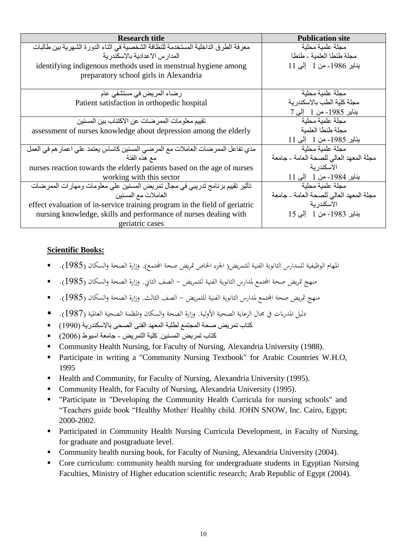| <b>Research title</b>                                                             | <b>Publication site</b>                 |
|-----------------------------------------------------------------------------------|-----------------------------------------|
| معرفة الطرق الداخلية المستخدمة للنظافة الشخصية في اثناء الدورة الشهرية بين طالبات | مجلة علمبة محلبة                        |
| المدار س الاعدادية بالاسكندر ية                                                   | مجلة طنطا العلمية - طنطا                |
| identifying indigenous methods used in menstrual hygiene among                    | يناير 1986- من 1 إلى 11                 |
| preparatory school girls in Alexandria                                            |                                         |
|                                                                                   |                                         |
| رضاء المريض في مستشفى عام                                                         | مجلة علمية محلية                        |
| Patient satisfaction in orthopedic hospital                                       | مجلة كلية الطب بالاسكندر ية             |
|                                                                                   | يناير 1985- من 1 - إلى 7                |
| تقييم معلومات الممر ضات عن الاكتئاب بين المسنين                                   | مجلة علمية محلية                        |
| assessment of nurses knowledge about depression among the elderly                 | مجلة طنطا العلمبة                       |
|                                                                                   | يناير 1985- من 1 إلى 11                 |
| مدي تفاعل الممر ضات العاملات مع المرضىي المسنين كاساس يعتمد على اعمار هم في العمل | مجلة علمية محلية                        |
| مع هذه الفئة                                                                      | مجلة المعهد العالى للصحة العامة - جامعة |
| nurses reaction towards the elderly patients based on the age of nurses           | الاسكندر ية                             |
| working with this sector                                                          | يناير 1984- من 1   إلى 11               |
| تأثير تقييم برنامج تدريبي في مجال تمريض المسنين على معلومات ومهارات الممرضات      | مجلة علمية محلية                        |
| العاملات مع المسنين                                                               | مجلة المعهد العالى للصحة العامة - جامعة |
| effect evaluation of in-service training program in the field of geriatric        | الاسكندر ية                             |
| nursing knowledge, skills and performance of nurses dealing with                  | يناير 1983- من 1 إلى 15                 |
| geriatric cases                                                                   |                                         |

#### **Scientific Books:**

- المهام الوظيفية للمدارس الثانوية الفنية للتمريض( الجزء الخاص تمريض صحة المجتمع). وزارة الصحة والسكان (1985).
- منهج تمريض صحة الجمعع لمدارس الثانوية الفنية للتمريض الصف الثاني. وزارة الصحة والسكان (1985).
- منهج تمريض صحة المجتمع لمدارس الثانوية الفنية للتمريض الصف الثالث. وزارة الصحة والسكان (1985).
- دليل المدربات في مجال الرعاية الصحية الأولية. وزارة الصحة والسكان والمظمة الصحية العالمية (1987). ■
- كتاب تمريض صحة المجتمع لطلبة المعهد الفنى الصحى باالسكندرية )1990(
- كتاب تمريض المسنين. كلية التمريض جامعة اسيوط )2006(
- Community Health Nursing, for Faculty of Nursing, Alexandria University (1988).
- Participate in writing a "Community Nursing Textbook" for Arabic Countries W.H.O, 1995
- Health and Community, for Faculty of Nursing, Alexandria University (1995).
- Community Health, for Faculty of Nursing, Alexandria University (1995).
- "Participate in "Developing the Community Health Curricula for nursing schools" and "Teachers guide book "Healthy Mother/ Healthy child. JOHN SNOW, Inc. Cairo, Egypt; 2000-2002.
- **Participated in Community Health Nursing Curricula Development, in Faculty of Nursing,** for graduate and postgraduate level.
- Community health nursing book, for Faculty of Nursing, Alexandria University (2004).
- Core curriculum: community health nursing for undergraduate students in Egyptian Nursing Faculties, Ministry of Higher education scientific research; Arab Republic of Egypt (2004).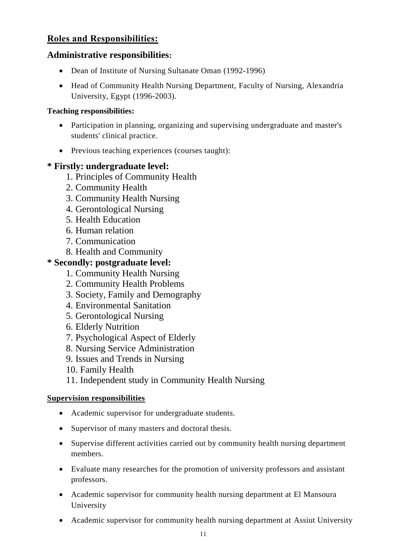# **Roles and Responsibilities:**

### **Administrative responsibilities:**

- Dean of Institute of Nursing Sultanate Oman (1992-1996)
- Head of Community Health Nursing Department, Faculty of Nursing, Alexandria University, Egypt (1996-2003).

### **Teaching responsibilities:**

- Participation in planning, organizing and supervising undergraduate and master's students' clinical practice.
- Previous teaching experiences (courses taught):

# **\* Firstly: undergraduate level:**

- 1. Principles of Community Health
- 2. Community Health
- 3. Community Health Nursing
- 4. Gerontological Nursing
- 5. Health Education
- 6. Human relation
- 7. Communication
- 8. Health and Community

# **\* Secondly: postgraduate level:**

- 1. Community Health Nursing
- 2. Community Health Problems
- 3. Society, Family and Demography
- 4. Environmental Sanitation
- 5. Gerontological Nursing
- 6. Elderly Nutrition
- 7. Psychological Aspect of Elderly
- 8. Nursing Service Administration
- 9. Issues and Trends in Nursing

10. Family Health

11. Independent study in Community Health Nursing

#### **Supervision responsibilities**

- Academic supervisor for undergraduate students.
- Supervisor of many masters and doctoral thesis.
- Supervise different activities carried out by community health nursing department members.
- Evaluate many researches for the promotion of university professors and assistant professors.
- Academic supervisor for community health nursing department at El Mansoura University
- Academic supervisor for community health nursing department at Assiut University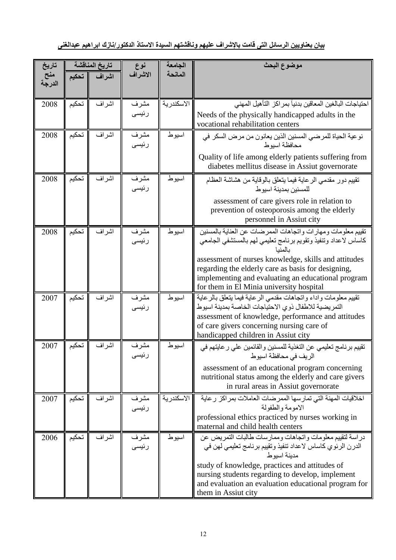| تاريخ         |       | تاريخ المناقشة | نوع           | الجامعة    | موضوع البحث                                                                                                                                                                                                               |
|---------------|-------|----------------|---------------|------------|---------------------------------------------------------------------------------------------------------------------------------------------------------------------------------------------------------------------------|
| منح<br>الدرجة | تحكيم | اشراف          | الاشراف       | المانحة    |                                                                                                                                                                                                                           |
| 2008          | تحكيم | اشراف          | مشرف          | الاسكندرية | احتياجات البالغين المعاقين بدنياً بمر اكز التأهيل المهنى                                                                                                                                                                  |
|               |       |                | رئيسى         |            | Needs of the physically handicapped adults in the<br>vocational rehabilitation centers                                                                                                                                    |
| 2008          | تحكيم | اشر اف         | مشرف<br>رئيسى | اسيوط      | نو عية الحياة للمرضي المسنين الذين يعانون من مرض السكر في<br>محافظة اسيو ط                                                                                                                                                |
|               |       |                |               |            | Quality of life among elderly patients suffering from<br>diabetes mellitus disease in Assiut governorate                                                                                                                  |
| 2008          | تحكيم | اشراف          | مشرف<br>رئيسى | اسيوط      | تقييم دور مقدمي الرعاية فيما يتعلق بالوقاية من هشاشة العظام<br>للمسنبن بمدبنة اسبوط                                                                                                                                       |
|               |       |                |               |            | assessment of care givers role in relation to<br>prevention of osteoporosis among the elderly<br>personnel in Assiut city                                                                                                 |
| 2008          | تحكيم | اشر اف         | مشرف<br>رئيسى | اسيو ط     | تقييم معلومات ومهارات واتجاهات الممرضات عن العناية بالمسنين<br>كاساس لاعداد وتنفيذ وتقويم برنامج تعليمي لهم بالمستشفى الجامعي<br>بالمنبا                                                                                  |
|               |       |                |               |            | assessment of nurses knowledge, skills and attitudes<br>regarding the elderly care as basis for designing,<br>implementing and evaluating an educational program<br>for them in El Minia university hospital              |
| 2007          | تحكيم | اشر اف         | مشرف<br>رئيسى | اسيوط      | تقييم معلومات واداء واتجاهات مقدمي الرعاية فيما يتعلق بالرعاية<br>التمريضية للاطفال ذوي الاحتياجات الخاصة بمدينة اسيوط<br>assessment of knowledge, performance and attitudes<br>of care givers concerning nursing care of |
| 2007          | تحكيم | اشراف          | مشرف          | اسيوط      | handicapped children in Assiut city<br>تقييم برنامج تعليمي عن التغذية للمسنين والقائمين على ر عايتهم في                                                                                                                   |
|               |       |                | رىيسى         |            | الريف في محافظة اسيوط<br>assessment of an educational program concerning<br>nutritional status among the elderly and care givers<br>in rural areas in Assiut governorate                                                  |
| 2007          | تحكيم | اشراف          | مشرف<br>رئیسی | الاسكندرية | اخلاقيات المهنة التي تمارسها الممرضات العاملات بمراكز رعاية<br>الامومة والطفولة<br>professional ethics practiced by nurses working in                                                                                     |
|               |       |                |               |            | maternal and child health centers                                                                                                                                                                                         |
| 2006          | تحكيم | اشراف          | مشرف<br>رئیسی | اسيوط      | در اسة لتقييم معلومات وانجاهات وممارسات طالبات النمريض عن<br>الدرن الرئوي كاساس لاعداد تنفيذ وتقييم برنامج تعليمي لهن في<br>مدينة اسيو ط                                                                                  |
|               |       |                |               |            | study of knowledge, practices and attitudes of<br>nursing students regarding to develop, implement<br>and evaluation an evaluation educational program for<br>them in Assiut city                                         |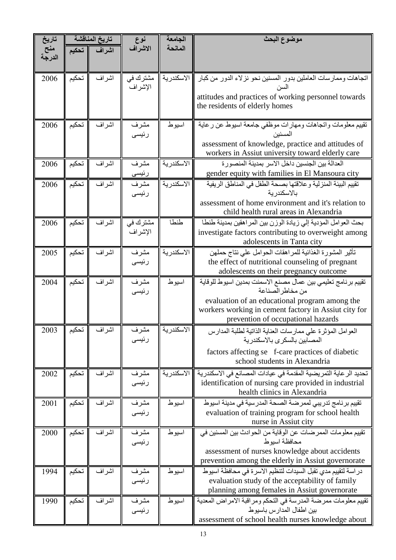| تاريخ         |       | تاريخ المناقشة | نوع                 | الجامعة    | موضوع البحث                                                                                                                 |
|---------------|-------|----------------|---------------------|------------|-----------------------------------------------------------------------------------------------------------------------------|
| منح<br>الدرجة | تحكيم | اشراف          | الاشراف             | المانحة    |                                                                                                                             |
| 2006          | تحكيم | اشراف          | مشترك في<br>الإشراف | الاسكندرية | اتجاهات وممارسات العاملين بدور المسنين نحو نزلاء الدور من كبار<br>السن                                                      |
|               |       |                |                     |            | attitudes and practices of working personnel towards                                                                        |
|               |       |                |                     |            | the residents of elderly homes                                                                                              |
| 2006          | تحكيم | اشراف          | مشرف                | اسيوط      | تقييم معلومات واتجاهات ومهارات موظفى جامعة اسيوط عن رعاية                                                                   |
|               |       |                | رئيسى               |            | المسنين<br>assessment of knowledge, practice and attitudes of                                                               |
|               |       |                |                     |            | workers in Assiut university toward elderly care                                                                            |
| 2006          | تحكيم | اشر اف         | مشرف                | الاسكندرية | العدالة بين الجنسين داخل الاسر بمدينة المنصورة                                                                              |
|               |       |                | رئيسى               |            | gender equity with families in El Mansoura city                                                                             |
| 2006          | تحكيم | اشراف          | مشرف<br>رئيسى       | الاسكندرية | تقييم البيئة المنزلية وعلاقتها بصحة الطفل في المناطق الريفية<br>بالاسكندر بة                                                |
|               |       |                |                     |            | assessment of home environment and it's relation to<br>child health rural areas in Alexandria                               |
| 2006          | تحكيم | اشراف          | مشترك في            | طنطا       | بحث العوامل المؤدية إلى زيادة الوزن بين المراهقين بمدينة طنطا                                                               |
|               |       |                | الإشراف             |            | investigate factors contributing to overweight among                                                                        |
|               |       |                |                     |            | adolescents in Tanta city                                                                                                   |
| 2005          | تحكيم | اشر اف         | مشرف<br>رئيسى       | الاسكندرية | تأثير المشورة الغذائية للمراهقات الحوامل على نتاج حملهن<br>the effect of nutritional counseling of pregnant                 |
|               |       |                |                     |            | adolescents on their pregnancy outcome                                                                                      |
| 2004          | تحكيم | اشراف          | مشرف<br>رئيسى       | اسيوط      | تقييم برنامج تعليمي بين عمال مصنع الاسمنت بمدين اسيوط للوقاية<br>من مخاطر الصناعة                                           |
|               |       |                |                     |            | evaluation of an educational program among the                                                                              |
|               |       |                |                     |            | workers working in cement factory in Assiut city for                                                                        |
|               |       | اشراف    تحكيم |                     |            | prevention of occupational hazards                                                                                          |
| 2003          |       |                | مشرف<br>رئيسى       | الاسكندرية | العوامل المؤثرة على ممارسات العناية الذاتية لطلبة المدارس<br>المصابين بالسكر ي بالاسكندر بة                                 |
|               |       |                |                     |            | factors affecting se f-care practices of diabetic                                                                           |
|               |       |                |                     |            | school students in Alexandria                                                                                               |
| 2002          | تحكيم | اشراف          | مشرف<br>رئيسى       | الاسكندرية | تحديد الر عاية التمريضية المقدمة في عيادات المصـانـع في الاسكندرية<br>identification of nursing care provided in industrial |
|               |       |                |                     |            | health clinics in Alexandria                                                                                                |
| 2001          | تحكيم | اشر اف         | مشرف                | اسيوط      | تقييم برنامج تدريبي لممرضة الصحة المدرسية في مدينة اسيوط                                                                    |
|               |       |                | رئيسى               |            | evaluation of training program for school health<br>nurse in Assiut city                                                    |
| 2000          | تحكيم | اشراف          | مشرف                | اسيوط      | تقييم معلومات الممرضات عن الوقاية من الحوادث بين المسنين في                                                                 |
|               |       |                | رئيسى               |            | محافظة اسبوط                                                                                                                |
|               |       |                |                     |            | assessment of nurses knowledge about accidents<br>prevention among the elderly in Assiut governorate                        |
| 1994          | تحكيم | اشراف          | مشرف                | اسيوط      | در اسة لتقييم مدي تقبل السيدات لتنظيم الاسر ة في محافظة اسيوط                                                               |
|               |       |                | رئيسى               |            | evaluation study of the acceptability of family<br>planning among females in Assiut governorate                             |
| 1990          | تحكيم | اشراف          | مشرف                | اسيوط      | تقييم معلومات ممرضة المدرسة في التحكم ومراقبة الامراض المعدية                                                               |
|               |       |                | رئيسى               |            | بين اطفال المدارس باسيوط                                                                                                    |
|               |       |                |                     |            | assessment of school health nurses knowledge about                                                                          |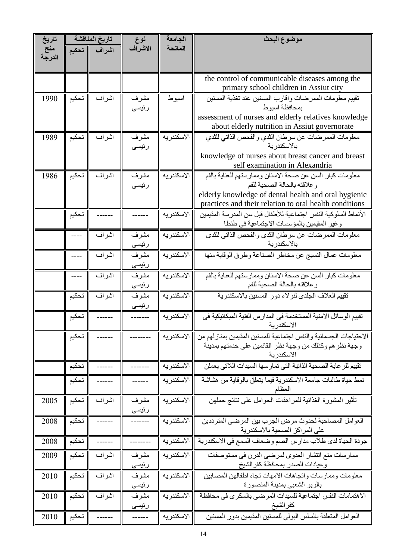| تاريخ  |       | تاريخ المناقشة | نوع           | الجامعة     | موضوع البحث                                                                              |
|--------|-------|----------------|---------------|-------------|------------------------------------------------------------------------------------------|
| منح    | تحكيم | اشراف          | الاشراف       | المانحة     |                                                                                          |
| الدرجة |       |                |               |             |                                                                                          |
|        |       |                |               |             |                                                                                          |
|        |       |                |               |             | the control of communicable diseases among the<br>primary school children in Assiut city |
| 1990   | تحكيم | اشراف          | مشرف          | اسيوط       | تقييم معلومات الممرضات واقارب المسنين عند تغذية المسنين                                  |
|        |       |                | رئيسى         |             | بمحافظة اسيو ط                                                                           |
|        |       |                |               |             | assessment of nurses and elderly relatives knowledge                                     |
|        |       |                |               |             | about elderly nutrition in Assiut governorate                                            |
| 1989   | تحكيم | اشراف          | مشرف          | الاسكندريه  | معلومات الممرضات عن سرطان الثدي والفحص الذاتي للثدي                                      |
|        |       |                | رئيسى         |             | بالاسكندر بة                                                                             |
|        |       |                |               |             | knowledge of nurses about breast cancer and breast<br>self examination in Alexandria     |
| 1986   | تحكيم | اشراف          | مشرف          | الاسكندريه  | معلومات كبار السن عن صحة الاسنان وممارستهم للعناية بالفم                                 |
|        |       |                | رئيسى         |             | وعلاقته بالحالة الصحية للفم                                                              |
|        |       |                |               |             | elderly knowledge of dental health and oral hygienic                                     |
|        |       |                |               |             | practices and their relation to oral health conditions                                   |
|        | تحكيم |                |               | الاسكندريه  | الأنماط السلو كية النفس اجتماعية للأطفال قبل سن المدر سة المقيمين                        |
|        |       |                |               |             | وغير المقيمين بالمؤسسات الاجتماعية في طنطا                                               |
|        |       | اشر اف         | مشرف<br>رئيسى | الاسكندريه  | معلومات الممرضات عن سرطان الثدي والفحص الذاتي للثدي<br>بالاسكندر ية                      |
|        | ----  | اشر اف         | مشرف          | الاسكندريه  | معلومات عمال النسيج عن مخاطر الصناعة وطرق الوقاية منها                                   |
|        |       |                | رئيسى         |             |                                                                                          |
|        | ----  | اشر اف         | مشرف          | الاسكندريه  | معلومات كبار السن عن صحة الاسنان وممارستهم للعناية بالفم                                 |
|        |       |                | رئيسى         |             | وعلاقته بالحالة الصحية للفم                                                              |
|        | تحكيم | اشراف          | مشرف          | الاسكندر يه | تقييم الغلاف الجلدى لنزلاء دور المسنين بالاسكندرية                                       |
|        |       |                | رئيسى         |             |                                                                                          |
|        | تحكيم |                | -------       | الاسكندريه  | تقييم الوسائل الامنية المستخدمة في المدارس الفنية الميكانيكية في<br>الاسكندر ية          |
|        | تحكيم |                |               | الاسكندريه  | الاحتياجات الجسمانية والنفس اجتماعية للمسنين المقيمين بمنازلهم من                        |
|        |       |                |               |             | وجهة نظر هم وكذلك من وجهة نظر القائمين على خدمتهم بمدينة                                 |
|        |       |                |               |             | الاسكندرية                                                                               |
|        | تحكيم |                |               | الاسكندريه  | تقييم للرعاية الصحية الذاتية التي تمارسها السيدات اللاتي يعملن                           |
|        | تحكيم |                |               | الاسكندريه  | نمط حياة طالبات جامعة الاسكندرية فيما يتعلق بالوقاية من هشاشة<br>العظام                  |
| 2005   | تحكيم | اشراف          | مشرف          | الاسكندر يه | تأثير المشورة الغذائية للمراهقات الحوامل على نتائج حملهن                                 |
|        |       |                | رئيسى         |             |                                                                                          |
| 2008   | تحكيم |                |               | الاسكندريه  | العوامل المصاحبة لحدوث مرض الجرب بين المرضى المترددين<br>على المراكز الصحية بالاسكندرية  |
| 2008   | تحكيم |                |               | الاسكندريه  | جودة الحياة لدى طلاب مدارس الصم وضعاف السمع في الاسكندرية                                |
| 2009   | تحكيم | اشراف          | مشرف<br>رنيسى | الاسكندريه  | ممارسات منع انتشار العدوى لمرضىي الدرن في مستوصفات<br>وعيادات الصدر بمحافظة كفر الشيخ    |
| 2010   | تحكيم | اشراف          | مشرف          | الاسكندريه  | معلومات وممارسات واتجاهات الامهات تجاه اطفالهن المصابين                                  |
|        |       |                | رئيسى         |             | بالربو الشعبي بمدينة المنصورة                                                            |
| 2010   | تحكيم | اشراف          | مشرف<br>رئيسى | الاسكندر يه | الاهتمامات النفس اجتماعية للسيدات المرضىي بالسكرى في محافظة<br>كفر الشيخ                 |
| 2010   | تحكيم | ------         | ------        | الاسكندريه  | العوامل المنعلقة بالسلس البولى للمسنين المقيمين بدور المسنين                             |